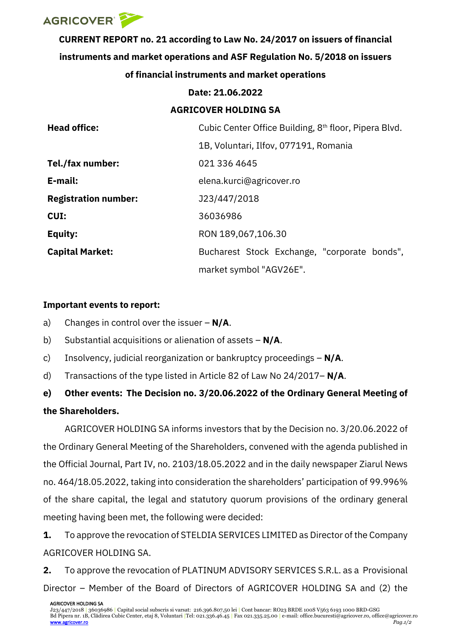

**CURRENT REPORT no. 21 according to Law No. 24/2017 on issuers of financial instruments and market operations and ASF Regulation No. 5/2018 on issuers of financial instruments and market operations**

## **Date: 21.06.2022**

## **AGRICOVER HOLDING SA**

| <b>Head office:</b>         | Cubic Center Office Building, 8 <sup>th</sup> floor, Pipera Blvd. |
|-----------------------------|-------------------------------------------------------------------|
|                             | 1B, Voluntari, Ilfov, 077191, Romania                             |
| Tel./fax number:            | 021 336 4645                                                      |
| E-mail:                     | elena.kurci@agricover.ro                                          |
| <b>Registration number:</b> | J23/447/2018                                                      |
| CUI:                        | 36036986                                                          |
| <b>Equity:</b>              | RON 189,067,106.30                                                |
| <b>Capital Market:</b>      | Bucharest Stock Exchange, "corporate bonds",                      |
|                             | market symbol "AGV26E".                                           |

## **Important events to report:**

- a) Changes in control over the issuer **N/A**.
- b) Substantial acquisitions or alienation of assets **N/A**.
- c) Insolvency, judicial reorganization or bankruptcy proceedings **N/A**.
- d) Transactions of the type listed in Article 82 of Law No 24/2017– **N/A**.

# **e) Other events: The Decision no. 3/20.06.2022 of the Ordinary General Meeting of the Shareholders.**

AGRICOVER HOLDING SA informs investors that by the Decision no. 3/20.06.2022 of the Ordinary General Meeting of the Shareholders, convened with the agenda published in the Official Journal, Part IV, no. 2103/18.05.2022 and in the daily newspaper Ziarul News no. 464/18.05.2022, taking into consideration the shareholders' participation of 99.996% of the share capital, the legal and statutory quorum provisions of the ordinary general meeting having been met, the following were decided:

**1.** To approve the revocation of STELDIA SERVICES LIMITED as Director of the Company AGRICOVER HOLDING SA.

**2.** To approve the revocation of PLATINUM ADVISORY SERVICES S.R.L. as a Provisional Director – Member of the Board of Directors of AGRICOVER HOLDING SA and (2) the